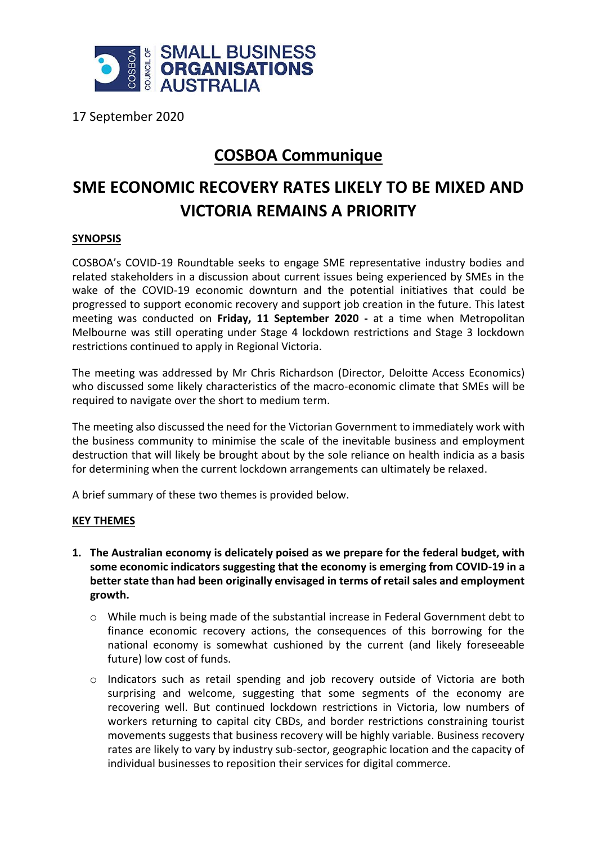

17 September 2020

## **COSBOA Communique**

## **SME ECONOMIC RECOVERY RATES LIKELY TO BE MIXED AND VICTORIA REMAINS A PRIORITY**

## **SYNOPSIS**

COSBOA's COVID-19 Roundtable seeks to engage SME representative industry bodies and related stakeholders in a discussion about current issues being experienced by SMEs in the wake of the COVID-19 economic downturn and the potential initiatives that could be progressed to support economic recovery and support job creation in the future. This latest meeting was conducted on **Friday, 11 September 2020 -** at a time when Metropolitan Melbourne was still operating under Stage 4 lockdown restrictions and Stage 3 lockdown restrictions continued to apply in Regional Victoria.

The meeting was addressed by Mr Chris Richardson (Director, Deloitte Access Economics) who discussed some likely characteristics of the macro-economic climate that SMEs will be required to navigate over the short to medium term.

The meeting also discussed the need for the Victorian Government to immediately work with the business community to minimise the scale of the inevitable business and employment destruction that will likely be brought about by the sole reliance on health indicia as a basis for determining when the current lockdown arrangements can ultimately be relaxed.

A brief summary of these two themes is provided below.

## **KEY THEMES**

- **1. The Australian economy is delicately poised as we prepare for the federal budget, with some economic indicators suggesting that the economy is emerging from COVID-19 in a better state than had been originally envisaged in terms of retail sales and employment growth.**
	- o While much is being made of the substantial increase in Federal Government debt to finance economic recovery actions, the consequences of this borrowing for the national economy is somewhat cushioned by the current (and likely foreseeable future) low cost of funds.
	- $\circ$  Indicators such as retail spending and job recovery outside of Victoria are both surprising and welcome, suggesting that some segments of the economy are recovering well. But continued lockdown restrictions in Victoria, low numbers of workers returning to capital city CBDs, and border restrictions constraining tourist movements suggests that business recovery will be highly variable. Business recovery rates are likely to vary by industry sub-sector, geographic location and the capacity of individual businesses to reposition their services for digital commerce.